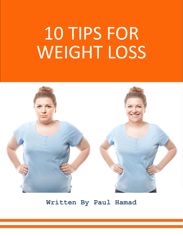# 10 TIPS FOR WEIGHT LOSS



**Written By Paul Hamad**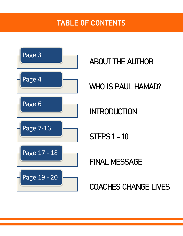#### TABLE OF CONTENTS



ABOUT THE AUTHOR

WHO IS PAUL HAMAD?

INTRODUCTION

STEPS 1 - 10

FINAL MESSAGE

COACHES CHANGE LIVES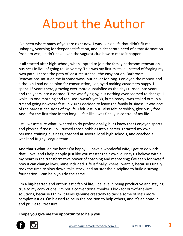## About the Author

I've been where many of you are right now. I was living a life that didn't fit me, unhappy, yearning for deeper satisfaction, and in desperate need of a transformation. Problem was, I didn't have even the vaguest clue how to make it happen.

It all started after high school, when I opted to join the family bathroom renovation business in lieu of going to University. This was my first mistake. Instead of forging my own path, I chose the path of least resistance…the easy option. Bathroom Renovations satisfied me in some ways, but never for long. I enjoyed the money, and although I had no passion for construction, I enjoyed making customers happy. I spent 12 years there, growing ever more dissatisfied as the days turned into years and the years into a decade. Time was flying by, but nothing ever seemed to change. I woke up one morning and realised I wasn't yet 30, but already I was stalled out, in a rut and going nowhere fast. In 2007 I decided to leave the family business; it was one of the hardest decisions of my life. I felt lost, but I also felt incredibly, gloriously free. And – for the first time in too long – I felt like I was finally in control of my life.

I still wasn't sure what I wanted to do professionally, but I knew that I enjoyed sports and physical fitness. So, I turned those hobbies into a career. I started my own personal training business, coached at several local high schools, and coached a weekend Rugby League team.

And that's what led me here: I'm happy – I have a wonderful wife, I get to do work that I love, and I help people just like you master their own journeys. I believe with all my heart in the transformative power of coaching and mentoring; I've seen for myself how it can change lives, mine included. Life is finally where I want it, because I finally took the time to slow down, take stock, and muster the discipline to build a strong foundation. I can help you do the same.

I'm a big-hearted and enthusiastic fan of life; I believe in being productive and staying true to my convictions. I'm not a conventional thinker. I look for out-of-the-box solutions, because I think it takes genuine creativity to tackle some of life's more complex issues. I'm blessed to be in the position to help others, and it's an honour and privilege I treasure.

**I hope you give me the opportunity to help you.** 

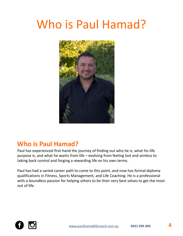#### Who is Paul Hamad?



#### **Who is Paul Hamad?**

Paul has experienced first-hand the journey of finding out who he is, what his life purpose is, and what he wants from life – evolving from feeling lost and aimless to taking back control and forging a rewarding life on his own terms.

Paul has had a varied career path to come to this point, and now has formal diploma qualifications in Fitness, Sports Management, and Life Coaching. He is a professional with a boundless passion for helping others to be their very best selves to get the most out of life.

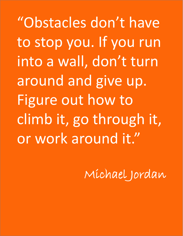"Obstacles don't have to stop you. If you run into a wall, don't turn around and give up. Figure out how to climb it, go through it, or work around it."

Michael Jordan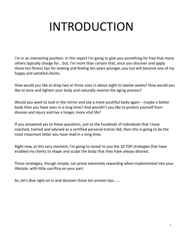## INTRODUCTION

I'm in an interesting position. In this report I'm going to give you something for free that many others typically charge for... but, I'm more than certain that, once you discover and apply these ten fitness tips for looking and feeling ten years younger, you too will become one of my happy and satisfied clients.

How would you like to drop two or three sizes in about eight to twelve weeks? How would you like to tone and tighten your body and naturally reverse the aging process?

Would you want to look in the mirror and see a more youthful body again – maybe a better body than you have seen in a long time? And wouldn't you like to protect yourself from disease and injury and live a longer, more vital life?

If you answered yes to these questions, just as the hundreds of individuals that I have coached, trained and advised as a certified personal trainer did, then this is going to be the most important letter you have read in a long time.

Right now, at this very moment, I'm going to reveal to you the 10 TOP strategies that have enabled my clients to shape and sculpt the body that they have always desired.

These strategies, though simple, can prove extremely rewarding when implemented into your lifestyle, with little sacrifice on your part.

So, let's dive right on in and discover these ten proven tips…….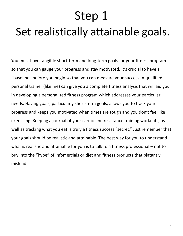## Step 1 Set realistically attainable goals.

You must have tangible short-term and long-term goals for your fitness program so that you can gauge your progress and stay motivated. It's crucial to have a "baseline" before you begin so that you can measure your success. A qualified personal trainer (like me) can give you a complete fitness analysis that will aid you in developing a personalized fitness program which addresses your particular needs. Having goals, particularly short-term goals, allows you to track your progress and keeps you motivated when times are tough and you don't feel like exercising. Keeping a journal of your cardio and resistance training workouts, as well as tracking what you eat is truly a fitness success "secret." Just remember that your goals should be realistic and attainable. The best way for you to understand what is realistic and attainable for you is to talk to a fitness professional – not to buy into the "hype" of infomercials or diet and fitness products that blatantly mislead.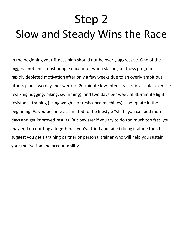## Step 2 Slow and Steady Wins the Race

In the beginning your fitness plan should not be overly aggressive. One of the biggest problems most people encounter when starting a fitness program is rapidly depleted motivation after only a few weeks due to an overly ambitious fitness plan. Two days per week of 20-minute low-intensity cardiovascular exercise (walking, jogging, biking, swimming); and two days per week of 30-minute light resistance training (using weights or resistance machines) is adequate in the beginning. As you become acclimated to the lifestyle "shift" you can add more days and get improved results. But beware: if you try to do too much too fast, you may end up quitting altogether. If you've tried and failed doing it alone then I suggest you get a training partner or personal trainer who will help you sustain your motivation and accountability.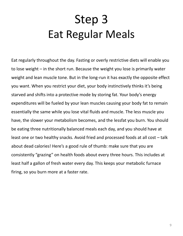### Step 3 Eat Regular Meals

Eat regularly throughout the day. Fasting or overly restrictive diets will enable you to lose weight – in the short run. Because the weight you lose is primarily water weight and lean muscle tone. But in the long-run it has exactly the opposite effect you want. When you restrict your diet, your body instinctively thinks it's being starved and shifts into a protective mode by storing fat. Your body's energy expenditures will be fueled by your lean muscles causing your body fat to remain essentially the same while you lose vital fluids and muscle. The less muscle you have, the slower your metabolism becomes, and the lessfat you burn. You should be eating three nutritionally balanced meals each day, and you should have at least one or two healthy snacks. Avoid fried and processed foods at all cost – talk about dead calories! Here's a good rule of thumb: make sure that you are consistently "grazing" on health foods about every three hours. This includes at least half a gallon of fresh water every day. This keeps your metabolic furnace firing, so you burn more at a faster rate.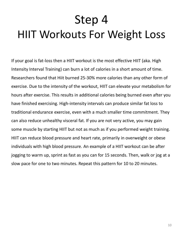## Step 4 HIIT Workouts For Weight Loss

If your goal is fat-loss then a HIIT workout is the most effective HIIT (aka. High Intensity Interval Training) can burn a lot of calories in a short amount of time. Researchers found that Hiit burned 25-30% more calories than any other form of exercise. Due to the intensity of the workout, HIIT can elevate your metabolism for hours after exercise. This results in additional calories being burned even after you have finished exercising. High-intensity intervals can produce similar fat loss to traditional endurance exercise, even with a much smaller time commitment. They can also reduce unhealthy visceral fat. If you are not very active, you may gain some muscle by starting HIIT but not as much as if you performed weight training. HIIT can reduce blood pressure and heart rate, primarily in overweight or obese individuals with high blood pressure. An example of a HIIT workout can be after jogging to warm up, sprint as fast as you can for 15 seconds. Then, walk or jog at a slow pace for one to two minutes. Repeat this pattern for 10 to 20 minutes.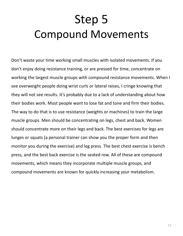### Step 5 Compound Movements

Don't waste your time working small muscles with isolated movements. If you don't enjoy doing resistance training, or are pressed for time, concentrate on working the largest muscle groups with compound resistance movements. When I see overweight people doing wrist curls or lateral raises, I cringe knowing that they will not see results. It's probably due to a lack of understanding about how their bodies work. Most people want to lose fat and tone and firm their bodies. The way to do that is to use resistance (weights or machines) to train the large muscle groups. Men should be concentrating on legs, chest and back. Women should concentrate more on their legs and back. The best exercises for legs are lunges or squats (a personal trainer can show you the proper form and then monitor you during the exercise) and leg press. The best chest exercise is bench press, and the best back exercise is the seated row. All of these are compound movements, which means they incorporate multiple muscle groups, and compound movements are known for quickly increasing your metabolism.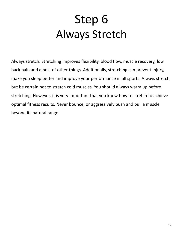### Step 6 Always Stretch

Always stretch. Stretching improves flexibility, blood flow, muscle recovery, low back pain and a host of other things. Additionally, stretching can prevent injury, make you sleep better and improve your performance in all sports. Always stretch, but be certain not to stretch cold muscles. You should always warm up before stretching. However, it is very important that you know how to stretch to achieve optimal fitness results. Never bounce, or aggressively push and pull a muscle beyond its natural range.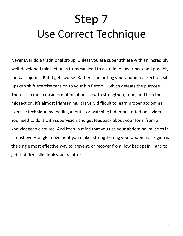### Step 7 Use Correct Technique

Never Ever do a traditional sit-up. Unless you are super athlete with an incredibly well-developed midsection, sit-ups can lead to a strained lower back and possibly lumbar injuries. But it gets worse. Rather than hitting your abdominal section, situps can shift exercise tension to your hip flexors – which defeats the purpose. There is so much misinformation about how to strengthen, tone, and firm the midsection, it's almost frightening. It is very difficult to learn proper abdominal exercise technique by reading about it or watching it demonstrated on a video. You need to do it with supervision and get feedback about your form from a knowledgeable source. And keep in mind that you use your abdominal muscles in almost every single movement you make. Strengthening your abdominal region is the single most effective way to prevent, or recover from, low back pain – and to get that firm, slim look you are after.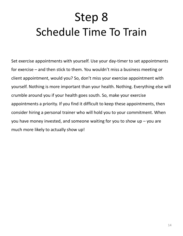### Step 8 Schedule Time To Train

Set exercise appointments with yourself. Use your day-timer to set appointments for exercise – and then stick to them. You wouldn't miss a business meeting or client appointment, would you? So, don't miss your exercise appointment with yourself. Nothing is more important than your health. Nothing. Everything else will crumble around you if your health goes south. So, make your exercise appointments a priority. If you find it difficult to keep these appointments, then consider hiring a personal trainer who will hold you to your commitment. When you have money invested, and someone waiting for you to show up – you are much more likely to actually show up!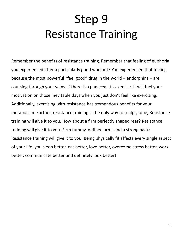### Step 9 Resistance Training

Remember the benefits of resistance training. Remember that feeling of euphoria you experienced after a particularly good workout? You experienced that feeling because the most powerful "feel good" drug in the world – endorphins – are coursing through your veins. If there is a panacea, it's exercise. It will fuel your motivation on those inevitable days when you just don't feel like exercising. Additionally, exercising with resistance has tremendous benefits for your metabolism. Further, resistance training is the only way to sculpt, tope, Resistance training will give it to you. How about a firm perfectly shaped rear? Resistance training will give it to you. Firm tummy, defined arms and a strong back? Resistance training will give it to you. Being physically fit affects every single aspect of your life: you sleep better, eat better, love better, overcome stress better, work better, communicate better and definitely look better!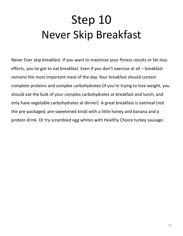#### Step 10 Never Skip Breakfast

Never Ever skip breakfast. If you want to maximize your fitness results or fat-loss efforts, you've got to eat breakfast. Even if you don't exercise at all – breakfast remains the most important meal of the day. Your breakfast should contain complete proteins and complex carbohydrates (if you're trying to lose weight, you should eat the bulk of your complex carbohydrates at breakfast and lunch, and only have vegetable carbohydrates at dinner). A great breakfast is oatmeal (not the pre-packaged, pre-sweetened kind) with a little honey and banana and a protein drink. Or try scrambled egg whites with Healthy Choice turkey sausage.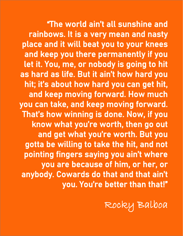ng r "The world ain't all sunshine and rainbows. It is a very mean and nasty place and it will beat you to your knees and keep you there permanently if you let it. You, me, or nobody is going to hit as hard as life. But it ain't how hard you hit; it's about how hard you can get hit, and keep moving forward. How much you can take, and keep moving forward. That's how winning is done. Now, if you know what you're worth, then go out and get what you're worth. But you gotta be willing to take the hit, and not pointing fingers saying you ain't where you are because of him, or her, or anybody. Cowards do that and that ain't you. You're better than that!"

Rocky Balboa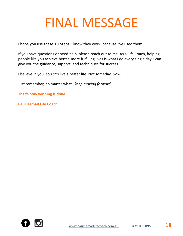## FINAL MESSAGE

I hope you use these 1O Steps. I know they work, because I've used them.

If you have questions or need help, please reach out to me. As a Life Coach, helping people like you achieve better, more fulfilling lives is what I do every single day. I can give you the guidance, support, and techniques for success.

I believe in you. You *can* live a better life. Not someday. *Now.* 

Just remember, no matter what…*keep moving forward.* 

**That's how winning is done.**

**Paul Hamad Life Coach**

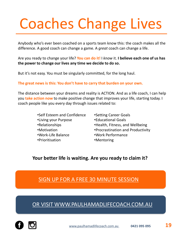# Coaches Change Lives

Anybody who's ever been coached on a sports team know this: the coach makes all the difference. A good coach can change a game. A *great* coach can change a life.

Are you ready to change your life? **You can do it!** I *know* it. **I believe each one of us has the power to change our lives any time we decide to do so.** 

But it's not easy. You must be singularly committed, for the long haul.

#### **The great news is this: You don't have to carry that burden on your own.**

The distance between your dreams and reality is ACTION. And as a life coach, I can help you **take action now** to make positive change that improves your life, starting today. I coach people like you every day through issues related to:

- •Self Esteem and Confidence •Living your Purpose •Relationships •Motivation •Work-Life Balance •Prioritisation
- •Setting Career Goals
- •Educational Goals
- •Health, Fitness, and Wellbeing
- •Procrastination and Productivity
- •Work Performance
- •Mentoring

#### **Your better life is waiting. Are you ready to claim it?**

#### [SIGN UP FOR A FREE 30 MINUTE SESSION](https://www.paulhamadlifecoach.com.au/)

[OR VISIT WWW.PAULHAMADLIFECOACH.COM.AU](https://www.paulhamadlifecoach.com.au/)